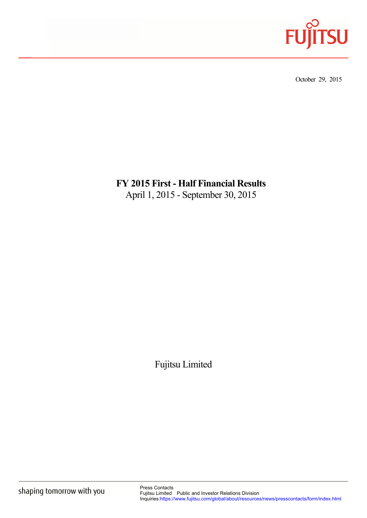

October 29, 2015

# **FY 2015 First - Half Financial Results**  April 1, 2015 - September 30, 2015

Fujitsu Limited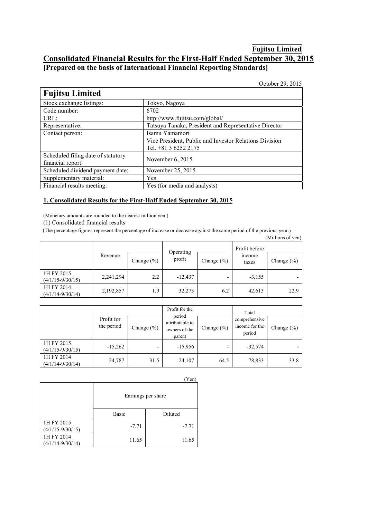### **Fujitsu Limited Consolidated Financial Results for the First-Half Ended September 30, 2015 [Prepared on the basis of International Financial Reporting Standards]**

October 29, 2015

| Stock exchange listings:<br>Tokyo, Nagoya                                |
|--------------------------------------------------------------------------|
| Code number:<br>6702                                                     |
| URL:<br>http://www.fujitsu.com/global/                                   |
| Tatsuya Tanaka, President and Representative Director<br>Representative: |
| Isamu Yamamori<br>Contact person:                                        |
| Vice President, Public and Investor Relations Division                   |
| Tel. +81 3 6252 2175                                                     |
| Scheduled filing date of statutory<br>November $6, 2015$                 |
| financial report:                                                        |
| Scheduled dividend payment date:<br>November 25, 2015                    |
| Supplementary material:<br>Yes                                           |
| Financial results meeting:<br>Yes (for media and analysts)               |

#### **1. Consolidated Results for the First-Half Ended September 30, 2015**

(Monetary amounts are rounded to the nearest million yen.)

(1) Consolidated financial results

(The percentage figures represent the percentage of increase or decrease against the same period of the previous year.)

|                                    |           |               |                     |                |                 | (Millions of yen) |                |
|------------------------------------|-----------|---------------|---------------------|----------------|-----------------|-------------------|----------------|
|                                    |           |               |                     |                | Profit before   |                   |                |
|                                    | Revenue   | Change $(\%)$ | Operating<br>profit | Change $(\% )$ | income<br>taxes |                   | Change $(\% )$ |
| 1H FY 2015<br>$(4/1/15 - 9/30/15)$ | 2,241,294 | 2.2           | $-12,437$           |                | $-3,155$        |                   |                |
| 1H FY 2014<br>$(4/1/14 - 9/30/14)$ | 2,192,857 | 1.9           | 32,273              | 6.2            | 42,613          | 22.9              |                |

|                                    |                          |                | Profit for the<br>period                   |                | Total                                     |                |
|------------------------------------|--------------------------|----------------|--------------------------------------------|----------------|-------------------------------------------|----------------|
|                                    | Profit for<br>the period | Change $(\% )$ | attributable to<br>owners of the<br>parent | Change $(\% )$ | comprehensive<br>income for the<br>period | Change $(\% )$ |
| 1H FY 2015<br>$(4/1/15 - 9/30/15)$ | $-15,262$                |                | $-15,956$                                  |                | $-32,574$                                 |                |
| 1H FY 2014<br>$(4/1/14 - 9/30/14)$ | 24,787                   | 31.5           | 24,107                                     | 64.5           | 78,833                                    | 33.8           |

|                                    |         | r en j<br>Earnings per share |
|------------------------------------|---------|------------------------------|
|                                    | Basic   | Diluted                      |
| 1H FY 2015<br>$(4/1/15 - 9/30/15)$ | $-7.71$ | $-7.71$                      |
| 1H FY 2014<br>$(4/1/14 - 9/30/14)$ | 11.65   | 11.65                        |

## $(V_{\alpha n})$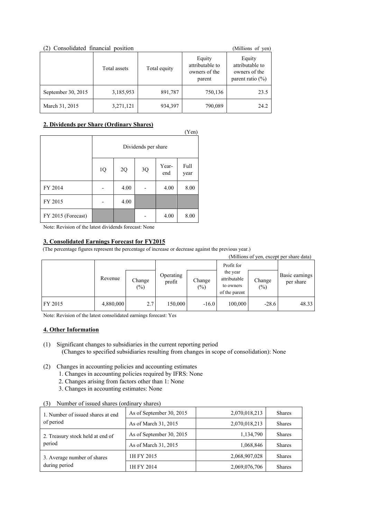| Consolidated financial position<br>2) |              | (Millions of yen) |                                                      |                                                                    |
|---------------------------------------|--------------|-------------------|------------------------------------------------------|--------------------------------------------------------------------|
|                                       | Total assets | Total equity      | Equity<br>attributable to<br>owners of the<br>parent | Equity<br>attributable to<br>owners of the<br>parent ratio $(\% )$ |
| September 30, 2015                    | 3,185,953    | 891,787           | 750,136                                              | 23.5                                                               |
| March 31, 2015                        | 3,271,121    | 934,397           | 790,089                                              | 24.2                                                               |

#### **2. Dividends per Share (Ordinary Shares)**

|                    |                     |      |    |              | (Yen)        |
|--------------------|---------------------|------|----|--------------|--------------|
|                    | Dividends per share |      |    |              |              |
|                    | 1Q                  | 2Q   | 3Q | Year-<br>end | Full<br>year |
| FY 2014            |                     | 4.00 |    | 4.00         | 8.00         |
| FY 2015            |                     | 4.00 |    |              |              |
| FY 2015 (Forecast) |                     |      |    | 4.00         | 8.00         |

Note: Revision of the latest dividends forecast: None

#### **3. Consolidated Earnings Forecast for FY2015**

(The percentage figures represent the percentage of increase or decrease against the previous year.)

|         |           |                  |                     |                  |                                                                      |                  | (Millions of yen, except per share data) |
|---------|-----------|------------------|---------------------|------------------|----------------------------------------------------------------------|------------------|------------------------------------------|
|         | Revenue   | Change<br>$(\%)$ | Operating<br>profit | Change<br>$(\%)$ | Profit for<br>the year<br>attributable<br>to owners<br>of the parent | Change<br>$(\%)$ | Basic earnings<br>per share              |
| FY 2015 | 4,880,000 | 2.7              | 150,000             | $-16.0$          | 100,000                                                              | $-28.6$          | 48.33                                    |

Note: Revision of the latest consolidated earnings forecast: Yes

#### **4. Other Information**

- (1) Significant changes to subsidiaries in the current reporting period (Changes to specified subsidiaries resulting from changes in scope of consolidation): None
- (2) Changes in accounting policies and accounting estimates
	- 1. Changes in accounting policies required by IFRS: None
	- 2. Changes arising from factors other than 1: None
	- 3. Changes in accounting estimates: None

#### (3) Number of issued shares (ordinary shares)

| 1. Number of issued shares at end.<br>of period | As of September 30, 2015 | 2,070,018,213 | <b>Shares</b> |
|-------------------------------------------------|--------------------------|---------------|---------------|
|                                                 | As of March 31, 2015     | 2,070,018,213 | <b>Shares</b> |
| 2. Treasury stock held at end of<br>period      | As of September 30, 2015 | 1,134,790     | <b>Shares</b> |
|                                                 | As of March 31, 2015     | 1,068,846     | <b>Shares</b> |
| 3. Average number of shares<br>during period    | 1H FY 2015               | 2,068,907,028 | <b>Shares</b> |
|                                                 | 1H FY 2014               | 2,069,076,706 | <b>Shares</b> |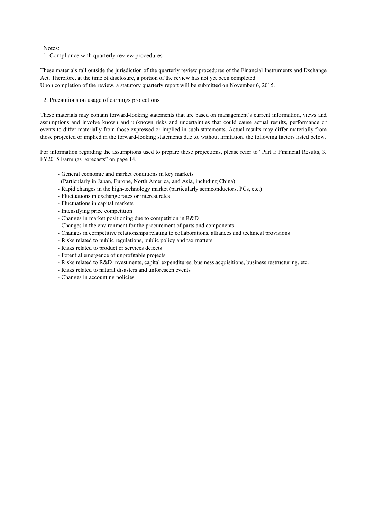Notes:

1. Compliance with quarterly review procedures

These materials fall outside the jurisdiction of the quarterly review procedures of the Financial Instruments and Exchange Act. Therefore, at the time of disclosure, a portion of the review has not yet been completed. Upon completion of the review, a statutory quarterly report will be submitted on November 6, 2015.

2. Precautions on usage of earnings projections

These materials may contain forward-looking statements that are based on management's current information, views and assumptions and involve known and unknown risks and uncertainties that could cause actual results, performance or events to differ materially from those expressed or implied in such statements. Actual results may differ materially from those projected or implied in the forward-looking statements due to, without limitation, the following factors listed below.

For information regarding the assumptions used to prepare these projections, please refer to "Part I: Financial Results, 3. FY2015 Earnings Forecasts" on page 14.

- General economic and market conditions in key markets
- (Particularly in Japan, Europe, North America, and Asia, including China)
- Rapid changes in the high-technology market (particularly semiconductors, PCs, etc.)
- Fluctuations in exchange rates or interest rates
- Fluctuations in capital markets
- Intensifying price competition
- Changes in market positioning due to competition in R&D
- Changes in the environment for the procurement of parts and components
- Changes in competitive relationships relating to collaborations, alliances and technical provisions
- Risks related to public regulations, public policy and tax matters
- Risks related to product or services defects
- Potential emergence of unprofitable projects
- Risks related to R&D investments, capital expenditures, business acquisitions, business restructuring, etc.
- Risks related to natural disasters and unforeseen events
- Changes in accounting policies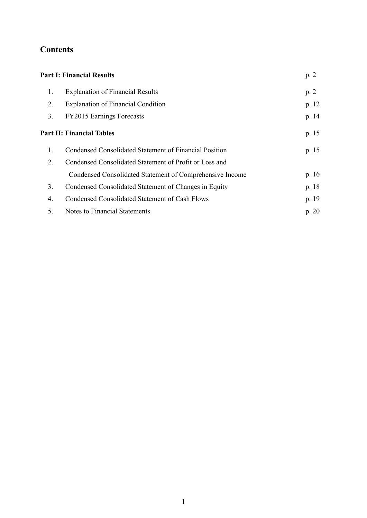# **Contents**

|                                                          | p. 2                                                                 |
|----------------------------------------------------------|----------------------------------------------------------------------|
| <b>Explanation of Financial Results</b>                  | p.2                                                                  |
| <b>Explanation of Financial Condition</b>                | p. 12                                                                |
| FY2015 Earnings Forecasts                                | p. 14                                                                |
|                                                          | p. 15                                                                |
| Condensed Consolidated Statement of Financial Position   | p. 15                                                                |
| Condensed Consolidated Statement of Profit or Loss and   |                                                                      |
| Condensed Consolidated Statement of Comprehensive Income | p. 16                                                                |
| Condensed Consolidated Statement of Changes in Equity    | p. 18                                                                |
| Condensed Consolidated Statement of Cash Flows           | p. 19                                                                |
| Notes to Financial Statements                            | p. 20                                                                |
|                                                          | <b>Part I: Financial Results</b><br><b>Part II: Financial Tables</b> |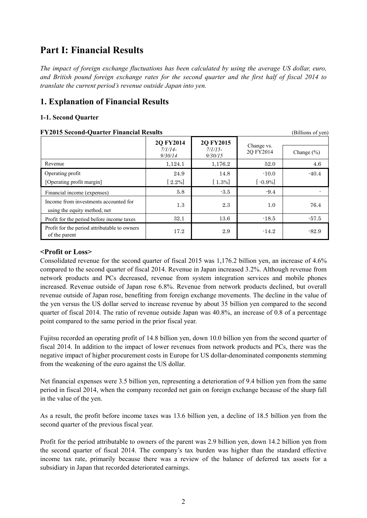# <span id="page-5-0"></span>**Part I: Financial Results**

*The impact of foreign exchange fluctuations has been calculated by using the average US dollar, euro, and British pound foreign exchange rates for the second quarter and the first half of fiscal 2014 to translate the current period's revenue outside Japan into yen.* 

## **1. Explanation of Financial Results**

#### 1-1. Second Quarter

| 1-1. Second Quarter                            |                   |
|------------------------------------------------|-------------------|
| <b>FY2015 Second-Quarter Financial Results</b> | (Billions of yen) |

|                                                                       | <b>2Q FY2014</b><br>$7/1/14-$<br>9/30/14 | <b>2Q FY2015</b><br>$7/1/15$ -<br>9/30/15 | Change vs.<br>2Q FY2014 | Change $(\% )$ |
|-----------------------------------------------------------------------|------------------------------------------|-------------------------------------------|-------------------------|----------------|
| Revenue                                                               | 1,124.1                                  | 1,176.2                                   | 52.0                    | 4.6            |
| Operating profit<br>[Operating profit margin]                         | 24.9<br>$[2.2\%]$                        | 14.8<br>$[1.3\%]$                         | $-10.0$<br>$[-0.9\%]$   | $-40.4$        |
| Financial income (expenses)                                           | 5.8                                      | $-3.5$                                    | $-9.4$                  |                |
| Income from investments accounted for<br>using the equity method, net | $1.3\,$                                  | 2.3                                       | 1.0                     | 76.4           |
| Profit for the period before income taxes                             | 32.1                                     | 13.6                                      | $-18.5$                 | $-57.5$        |
| Profit for the period attributable to owners<br>of the parent         | 17.2                                     | 2.9                                       | $-14.2$                 | $-82.9$        |

#### **<Profit or Loss>**

Consolidated revenue for the second quarter of fiscal 2015 was 1,176.2 billion yen, an increase of 4.6% compared to the second quarter of fiscal 2014. Revenue in Japan increased 3.2%. Although revenue from network products and PCs decreased, revenue from system integration services and mobile phones increased. Revenue outside of Japan rose 6.8%. Revenue from network products declined, but overall revenue outside of Japan rose, benefiting from foreign exchange movements. The decline in the value of the yen versus the US dollar served to increase revenue by about 35 billion yen compared to the second quarter of fiscal 2014. The ratio of revenue outside Japan was 40.8%, an increase of 0.8 of a percentage point compared to the same period in the prior fiscal year.

from the weakening of the euro against the US dollar. Fujitsu recorded an operating profit of 14.8 billion yen, down 10.0 billion yen from the second quarter of fiscal 2014. In addition to the impact of lower revenues from network products and PCs, there was the negative impact of higher procurement costs in Europe for US dollar-denominated components stemming

Net financial expenses were 3.5 billion yen, representing a deterioration of 9.4 billion yen from the same period in fiscal 2014, when the company recorded net gain on foreign exchange because of the sharp fall in the value of the yen.

As a result, the profit before income taxes was 13.6 billion yen, a decline of 18.5 billion yen from the second quarter of the previous fiscal year.

Profit for the period attributable to owners of the parent was 2.9 billion yen, down 14.2 billion yen from the second quarter of fiscal 2014. The company's tax burden was higher than the standard effective income tax rate, primarily because there was a review of the balance of deferred tax assets for a subsidiary in Japan that recorded deteriorated earnings.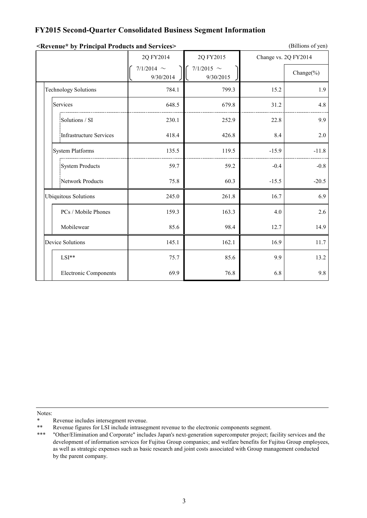### **FY2015 Second-Quarter Consolidated Business Segment Information**

|                              | 2Q FY2014                    | 2Q FY2015                    |         | Change vs. 2Q FY2014 |
|------------------------------|------------------------------|------------------------------|---------|----------------------|
|                              | 7/1/2014 $\sim$<br>9/30/2014 | 7/1/2015 $\sim$<br>9/30/2015 |         | Change $(\% )$       |
| <b>Technology Solutions</b>  | 784.1                        | 799.3                        | 15.2    | 1.9                  |
| Services                     | 648.5                        | 679.8                        | 31.2    | 4.8                  |
| Solutions / SI               | 230.1                        | 252.9                        | 22.8    | 9.9                  |
| Infrastructure Services      | 418.4                        | 426.8                        | 8.4     | 2.0                  |
| <b>System Platforms</b>      | 135.5                        | 119.5                        | $-15.9$ | $-11.8$              |
| <b>System Products</b>       | 59.7                         | 59.2                         | $-0.4$  | $-0.8$               |
| Network Products             | 75.8                         | 60.3                         | $-15.5$ | $-20.5$              |
| <b>Ubiquitous Solutions</b>  | 245.0                        | 261.8                        | 16.7    | 6.9                  |
| PCs / Mobile Phones          | 159.3                        | 163.3                        | 4.0     | 2.6                  |
| Mobilewear                   | 85.6                         | 98.4                         | 12.7    | 14.9                 |
| <b>Device Solutions</b>      | 145.1                        | 162.1                        | 16.9    | 11.7                 |
| LSI**                        | 75.7                         | 85.6                         | 9.9     | 13.2                 |
| <b>Electronic Components</b> | 69.9                         | 76.8                         | 6.8     | 9.8                  |

| <b>Example 2 Services</b> <a>Principal Products and Services</a> > | (Billions of yen) |
|--------------------------------------------------------------------|-------------------|
|--------------------------------------------------------------------|-------------------|

Notes:

<sup>\*</sup> Revenue includes intersegment revenue.<br>\*\* Revenue figures for LSI include intraseg

<sup>\*\*</sup> Revenue figures for LSI include intrasegment revenue to the electronic components segment.<br>\*\*\* "Other/Elimination and Cornorate" includes Japan's next-generation supercomputer project; fa

<sup>\*\*\* &</sup>quot;Other/Elimination and Corporate" includes Japan's next-generation supercomputer project; facility services and the development of information services for Fujitsu Group companies; and welfare benefits for Fujitsu Group employees, as well as strategic expenses such as basic research and joint costs associated with Group management conducted by the parent company.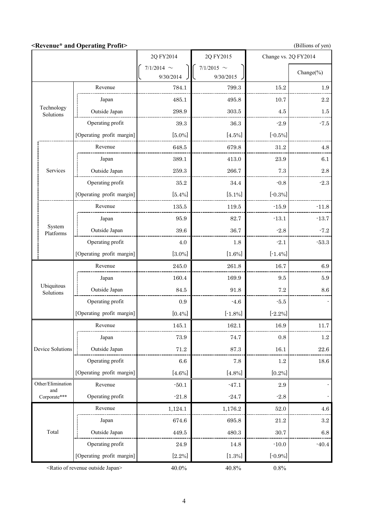**<Revenue\* and Operating Profit>** (Billions of yen)

|                         |                                                      | 2Q FY2014    | 2Q FY2015    | Change vs. 2Q FY2014 |                         |
|-------------------------|------------------------------------------------------|--------------|--------------|----------------------|-------------------------|
|                         |                                                      | $7/1/2014$ ~ | $7/1/2015$ ~ |                      | Change(%)               |
|                         |                                                      | 9/30/2014    | 9/30/2015    |                      |                         |
|                         | Revenue                                              | 784.1        | 799.3        | 15.2                 | 1.9                     |
| Technology              | Japan                                                | 485.1        | 495.8        | 10.7                 | 2.2                     |
| Solutions               | Outside Japan                                        | 298.9        | $303.5\,$    | 4.5                  | $1.5\,$                 |
|                         | Operating profit                                     | $39.3\,$     | 36.3         | $-2.9$               | $-7.5$                  |
|                         | [Operating profit margin]                            | $[5.0\%]$    | $[4.5\%]$    | $[-0.5\%]$           |                         |
|                         | Revenue                                              | 648.5        | 679.8        | 31.2                 | 4.8                     |
|                         | Japan                                                | 389.1        | $413.0\,$    | 23.9                 | 6.1                     |
| Services                | Outside Japan                                        | 259.3        | 266.7        | 7.3                  | 2.8                     |
|                         | Operating profit                                     | $35.2\,$     | 34.4         | $-0.8$               | $-2.3$                  |
|                         | [Operating profit margin]                            | $[5.4\%]$    | $[5.1\%]$    | $[-0.3\%]$           |                         |
|                         | Revenue                                              | 135.5        | 119.5        | $-15.9$              | $-11.8$                 |
|                         | Japan                                                | $95.9\,$     | 82.7         | $-13.1$              | $-13.7$                 |
| System<br>Platforms     | Outside Japan                                        | $39.6\,$     | 36.7         | $-2.8$               | $-7.2$                  |
|                         | Operating profit                                     | $4.0\,$      | 1.8          | $-2.1$               | $\mbox{{\small -}53.3}$ |
|                         | [Operating profit margin]                            | $[3.0\%]$    | $[1.6\%]$    | $[-1.4\%]$           |                         |
|                         | Revenue                                              | 245.0        | 261.8        | 16.7                 | 6.9                     |
|                         | Japan                                                | 160.4        | 169.9        | 9.5                  | $5.9\,$                 |
| Ubiquitous<br>Solutions | Outside Japan                                        | 84.5         | 91.8         | 7.2                  | 8.6                     |
|                         | Operating profit                                     | $\rm 0.9$    | $-4.6$       | $-5.5$               |                         |
|                         | [Operating profit margin]                            | $[0.4\%]$    | $[-1.8\%]$   | $[-2.2\%]$           |                         |
|                         | Revenue                                              | 145.1        | 162.1        | 16.9                 | 117                     |
|                         | Japan                                                | 73.9         | 74.7         | 0.8                  | 1.2                     |
| <b>Device Solutions</b> | Outside Japan                                        | $71.2\,$     | $87.3\,$     | 16.1                 | $22.6\,$                |
|                         | Operating profit                                     | $6.6\,$      | 7.8          | 1.2                  | $18.6\,$                |
|                         | [Operating profit margin]                            | $[4.6\%]$    | $[4.8\%]$    | $[0.2\%]$            |                         |
| Other/Elimination       | Revenue                                              | $-50.1$      | $-47.1$      | 2.9                  |                         |
| and<br>Corporate***     | Operating profit                                     | $-21.8$      | $-24.7$      | $-2.8$               |                         |
|                         | Revenue                                              | 1,124.1      | 1,176.2      | 52.0                 | $4.6\,$                 |
|                         | Japan                                                | $674.6\,$    | 695.8        | 21.2                 | $\!3.2\!$               |
| Total                   | Outside Japan                                        | $\!49.5\!$   | $480.3\,$    | 30.7                 | $6.8\,$                 |
|                         | Operating profit                                     | $24.9\,$     | 14.8         | $-10.0$              | $-40.4$                 |
|                         | [Operating profit margin]                            | $[2.2\%]$    | [1.3%]       | $[-0.9\%]$           |                         |
|                         | <ratio japan="" of="" outside="" revenue=""></ratio> | $40.0\%$     | 40.8%        | 0.8%                 |                         |

4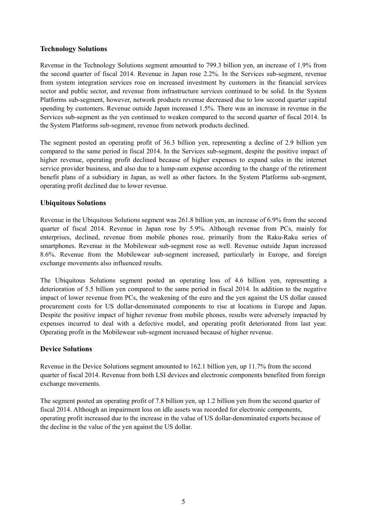#### **Technology Solutions**

 from system integration services rose on increased investment by customers in the financial services Revenue in the Technology Solutions segment amounted to 799.3 billion yen, an increase of 1.9% from the second quarter of fiscal 2014. Revenue in Japan rose 2.2%. In the Services sub-segment, revenue sector and public sector, and revenue from infrastructure services continued to be solid. In the System Platforms sub-segment, however, network products revenue decreased due to low second quarter capital spending by customers. Revenue outside Japan increased 1.5%. There was an increase in revenue in the Services sub-segment as the yen continued to weaken compared to the second quarter of fiscal 2014. In the System Platforms sub-segment, revenue from network products declined.

The segment posted an operating profit of 36.3 billion yen, representing a decline of 2.9 billion yen compared to the same period in fiscal 2014. In the Services sub-segment, despite the positive impact of higher revenue, operating profit declined because of higher expenses to expand sales in the internet service provider business, and also due to a lump-sum expense according to the change of the retirement benefit plans of a subsidiary in Japan, as well as other factors. In the System Platforms sub-segment, operating profit declined due to lower revenue.

#### **Ubiquitous Solutions**

 quarter of fiscal 2014. Revenue in Japan rose by 5.9%. Although revenue from PCs, mainly for Revenue in the Ubiquitous Solutions segment was 261.8 billion yen, an increase of 6.9% from the second enterprises, declined, revenue from mobile phones rose, primarily from the Raku-Raku series of smartphones. Revenue in the Mobilewear sub-segment rose as well. Revenue outside Japan increased 8.6%. Revenue from the Mobilewear sub-segment increased, particularly in Europe, and foreign exchange movements also influenced results.

The Ubiquitous Solutions segment posted an operating loss of 4.6 billion yen, representing a deterioration of 5.5 billion yen compared to the same period in fiscal 2014. In addition to the negative impact of lower revenue from PCs, the weakening of the euro and the yen against the US dollar caused procurement costs for US dollar-denominated components to rise at locations in Europe and Japan. Despite the positive impact of higher revenue from mobile phones, results were adversely impacted by expenses incurred to deal with a defective model, and operating profit deteriorated from last year. Operating profit in the Mobilewear sub-segment increased because of higher revenue.

#### **Device Solutions**

Revenue in the Device Solutions segment amounted to 162.1 billion yen, up 11.7% from the second quarter of fiscal 2014. Revenue from both LSI devices and electronic components benefited from foreign exchange movements.

The segment posted an operating profit of 7.8 billion yen, up 1.2 billion yen from the second quarter of fiscal 2014. Although an impairment loss on idle assets was recorded for electronic components, operating profit increased due to the increase in the value of US dollar-denominated exports because of the decline in the value of the yen against the US dollar.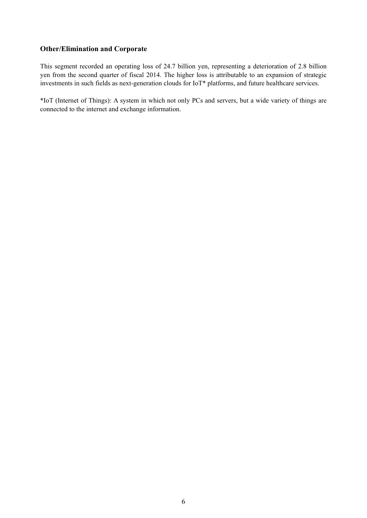#### **Other/Elimination and Corporate**

This segment recorded an operating loss of 24.7 billion yen, representing a deterioration of 2.8 billion yen from the second quarter of fiscal 2014. The higher loss is attributable to an expansion of strategic investments in such fields as next-generation clouds for IoT\* platforms, and future healthcare services.

\*IoT (Internet of Things): A system in which not only PCs and servers, but a wide variety of things are connected to the internet and exchange information.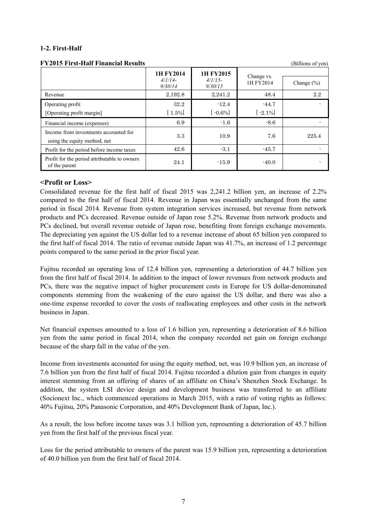#### **1-2. First-Half**

| F I ZVIS FIISE-HAII FIIIAIICIAI RESUILS                               |                                   |                                   |                         | (DHIIOIIS 01 YEII) |
|-----------------------------------------------------------------------|-----------------------------------|-----------------------------------|-------------------------|--------------------|
|                                                                       | 1H FY2014<br>$4/1/14-$<br>9/30/14 | 1H FY2015<br>$4/1/15-$<br>9/30/15 | Change vs.<br>1H FY2014 | Change $(\% )$     |
| Revenue                                                               | 2,192.8                           | 2,241.2                           | 48.4                    | $2.2\,$            |
| Operating profit<br>[Operating profit margin]                         | 32.2<br>$[1.5\%]$                 | $-12.4$<br>$-0.6\%$               | $-44.7$<br>$[-2.1\%]$   |                    |
| Financial income (expenses)                                           | 6.9                               | $-1.6$                            | $-8.6$                  |                    |
| Income from investments accounted for<br>using the equity method, net | 3.3                               | 10.9                              | 7.6                     | 225.4              |
| Profit for the period before income taxes                             | 42.6                              | $-3.1$                            | $-45.7$                 |                    |
| Profit for the period attributable to owners<br>of the parent         | 24.1                              | $-15.9$                           | $-40.0$                 |                    |

#### **FY2015 First-Half Financial Results** (Billions of yen)

#### **<Profit or Loss>**

Consolidated revenue for the first half of fiscal 2015 was 2,241.2 billion yen, an increase of 2.2% compared to the first half of fiscal 2014. Revenue in Japan was essentially unchanged from the same period in fiscal 2014. Revenue from system integration services increased, but revenue from network products and PCs decreased. Revenue outside of Japan rose 5.2%. Revenue from network products and PCs declined, but overall revenue outside of Japan rose, benefiting from foreign exchange movements. The depreciating yen against the US dollar led to a revenue increase of about 65 billion yen compared to the first half of fiscal 2014. The ratio of revenue outside Japan was 41.7%, an increase of 1.2 percentage points compared to the same period in the prior fiscal year.

Fujitsu recorded an operating loss of 12.4 billion yen, representing a deterioration of 44.7 billion yen from the first half of fiscal 2014. In addition to the impact of lower revenues from network products and PCs, there was the negative impact of higher procurement costs in Europe for US dollar-denominated components stemming from the weakening of the euro against the US dollar, and there was also a one-time expense recorded to cover the costs of reallocating employees and other costs in the network business in Japan.

Net financial expenses amounted to a loss of 1.6 billion yen, representing a deterioration of 8.6 billion yen from the same period in fiscal 2014, when the company recorded net gain on foreign exchange because of the sharp fall in the value of the yen.

Income from investments accounted for using the equity method, net, was 10.9 billion yen, an increase of 7.6 billion yen from the first half of fiscal 2014. Fujitsu recorded a dilution gain from changes in equity interest stemming from an offering of shares of an affiliate on China's Shenzhen Stock Exchange. In addition, the system LSI device design and development business was transferred to an affiliate (Socionext Inc., which commenced operations in March 2015, with a ratio of voting rights as follows: 40% Fujitsu, 20% Panasonic Corporation, and 40% Development Bank of Japan, Inc.).

As a result, the loss before income taxes was 3.1 billion yen, representing a deterioration of 45.7 billion yen from the first half of the previous fiscal year.

Loss for the period attributable to owners of the parent was 15.9 billion yen, representing a deterioration of 40.0 billion yen from the first half of fiscal 2014.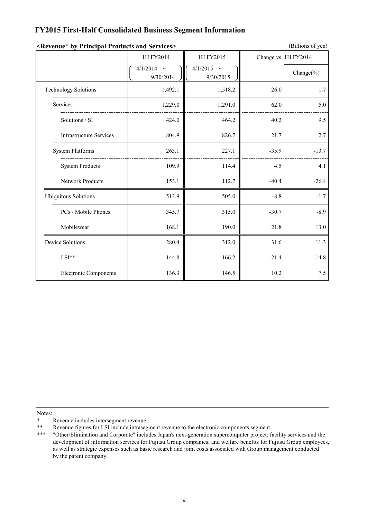### **FY2015 First-Half Consolidated Business Segment Information**

|                              | 1H FY2014                    | 1H FY2015<br>Change vs. 1H FY2014 |         |                |
|------------------------------|------------------------------|-----------------------------------|---------|----------------|
|                              | 4/1/2014 $\sim$<br>9/30/2014 | 4/1/2015 $\sim$<br>9/30/2015      |         | Change $(\% )$ |
| <b>Technology Solutions</b>  | 1,492.1                      | 1,518.2                           | 26.0    | 1.7            |
| Services                     | 1,229.0                      | 1,291.0                           | 62.0    | 5.0            |
| Solutions / SI               | 424.0                        | 464.2                             | 40.2    | 9.5            |
| Infrastructure Services      | 804.9                        | 826.7                             | 21.7    | 2.7            |
| System Platforms             | 263.1                        | 227.1                             | $-35.9$ | $-13.7$        |
| <b>System Products</b>       | 109.9                        | 114.4                             | 4.5     | 4.1            |
| Network Products             | 153.1                        | 112.7                             | $-40.4$ | $-26.4$        |
| <b>Ubiquitous Solutions</b>  | 513.9                        | 505.0                             | $-8.8$  | $-1.7$         |
| PCs / Mobile Phones          | 345.7                        | 315.0                             | $-30.7$ | $-8.9$         |
| Mobilewear                   | 168.1                        | 190.0                             | 21.8    | 13.0           |
| <b>Device Solutions</b>      | 280.4                        | 312.0                             | 31.6    | 11.3           |
| LSI**                        | 144.8                        | 166.2                             | 21.4    | 14.8           |
| <b>Electronic Components</b> | 136.3                        | 146.5                             | 10.2    | 7.5            |

#### **<Revenue\* by Principal Products and Services>**

(Billions of yen)

Notes:

<sup>\*</sup> Revenue includes intersegment revenue.<br>\*\* Revenue figures for LSI include intraseg

<sup>\*\*</sup> Revenue figures for LSI include intrasegment revenue to the electronic components segment.

<sup>\*\*\* &</sup>quot;Other/Elimination and Corporate" includes Japan's next-generation supercomputer project; facility services and the development of information services for Fujitsu Group companies; and welfare benefits for Fujitsu Group employees, as well as strategic expenses such as basic research and joint costs associated with Group management conducted by the parent company.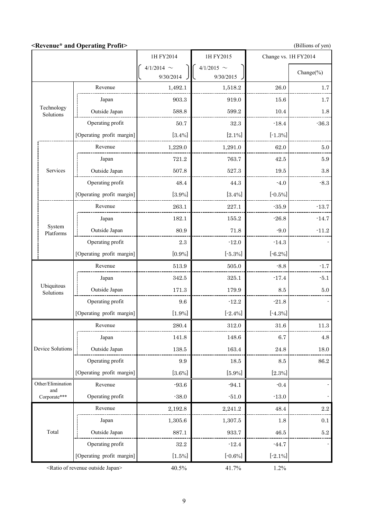**<Revenue\* and Operating Profit>** (Billions of yen)

|                         |                                                      | 1H FY2014    | 1H FY2015        | Change vs. 1H FY2014 |                |
|-------------------------|------------------------------------------------------|--------------|------------------|----------------------|----------------|
|                         |                                                      | $4/1/2014$ ~ | $4/1/2015$ ~     |                      | Change $(\% )$ |
|                         |                                                      | 9/30/2014    | 9/30/2015        |                      |                |
|                         | Revenue                                              | 1,492.1      | 1,518.2          | 26.0                 | 1.7            |
|                         | Japan                                                | 903.3        | 919.0            | 15.6                 | 1.7            |
| Technology<br>Solutions | Outside Japan                                        | 588.8        | 599.2            | 10.4                 | 1.8            |
|                         | Operating profit                                     | $50.7\,$     | 32.3             | $-18.4$              | $-36.3$        |
|                         | [Operating profit margin]                            | $[3.4\%]$    | $[2.1\%]$        | $[-1.3\%]$           |                |
|                         | Revenue                                              | 1,229.0      | 1,291.0          | 62.0                 | 5.0            |
|                         | Japan                                                | 721.2        | 763.7            | 42.5                 | 5.9            |
| Services                | Outside Japan                                        | 507.8        | 527.3            | 19.5                 | $\!.8$         |
|                         | Operating profit                                     | 48.4         | 44.3             | $-4.0$               | $-8.3$         |
|                         | [Operating profit margin]                            | [3.9%]       | $[3.4\%]$        | $[-0.5\%]$           |                |
|                         | Revenue                                              | 263.1        | 227.1            | $-35.9$              | $-13.7$        |
|                         | Japan                                                | 182.1        | 155.2            | $-26.8$              | $-14.7$        |
| System<br>Platforms     | Outside Japan                                        | 80.9         | 71.8             | $-9.0$               | $-11.2$        |
|                         | Operating profit                                     | 2.3          | $-12.0$          | $-14.3$              |                |
|                         | [Operating profit margin]                            | $[0.9\%]$    | $[-5.3\%]$       | $[-6.2\%]$           |                |
|                         | Revenue                                              | 513.9        | 505.0            | $-8.8$               | $-1.7$         |
|                         | Japan                                                | 342.5        | 325.1            | $-17.4$              | $-5.1$         |
| Ubiquitous<br>Solutions | Outside Japan                                        | 171.3        | 179.9            | 8.5                  | 5.0            |
|                         | Operating profit                                     | 9.6          | $-12.2$          | $-21.8$              |                |
|                         | [Operating profit margin]                            | $[1.9\%]$    | $[-2.4\%]$       | $[-4.3\%]$           |                |
|                         | Revenue                                              | 280.4        | 312.0            | 31.6                 | 11.3           |
|                         | Japan                                                | 141.8        | 148.6            | 6.7                  | 4.8            |
| Device Solutions        | Outside Japan                                        | $138.5\,$    | 163.4            | 24.8                 | 18.0           |
|                         | Operating profit                                     | 9.9          | $18.5\,$         | 8.5                  | $86.2\,$       |
|                         | [Operating profit margin]                            | $[3.6\%]$    | $[5.9\%]$        | $[2.3\%]$            |                |
| Other/Elimination       | Revenue                                              | $-93.6$      | $-94.1$          | $-0.4$               |                |
| and<br>Corporate***     | Operating profit                                     | $-38.0$      | $-51.0$          | $-13.0$              |                |
|                         | Revenue                                              | 2,192.8      | 2,241.2          | 48.4                 | $2.2\,$        |
|                         | Japan                                                | 1,305.6      | 1,307.5          | 1.8                  | $0.1\,$        |
| Total                   | Outside Japan                                        | 887.1        | 933.7            | 46.5                 | $5.2\,$        |
|                         | Operating profit                                     | $32.2\,$     | $\textbf{-12.4}$ | $-44.7$              |                |
|                         | [Operating profit margin]                            | $[1.5\%]$    | $[-0.6\%]$       | $[-2.1\%]$           |                |
|                         | <ratio japan="" of="" outside="" revenue=""></ratio> | 40.5%        | 41.7%            | 1.2%                 |                |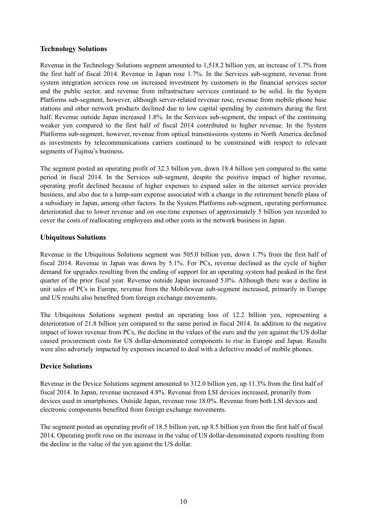#### **Technology Solutions**

Revenue in the Technology Solutions segment amounted to 1,518.2 billion yen, an increase of 1.7% from the first half of fiscal 2014. Revenue in Japan rose 1.7%. In the Services sub-segment, revenue from system integration services rose on increased investment by customers in the financial services sector and the public sector, and revenue from infrastructure services continued to be solid. In the System Platforms sub-segment, however, although server-related revenue rose, revenue from mobile phone base stations and other network products declined due to low capital spending by customers during the first half. Revenue outside Japan increased 1.8%. In the Services sub-segment, the impact of the continuing weaker yen compared to the first half of fiscal 2014 contributed to higher revenue. In the System Platforms sub-segment, however, revenue from optical transmissions systems in North America declined as investments by telecommunications carriers continued to be constrained with respect to relevant segments of Fujitsu's business.

The segment posted an operating profit of 32.3 billion yen, down 18.4 billion yen compared to the same period in fiscal 2014. In the Services sub-segment, despite the positive impact of higher revenue, operating profit declined because of higher expenses to expand sales in the internet service provider business, and also due to a lump-sum expense associated with a change in the retirement benefit plans of a subsidiary in Japan, among other factors. In the System Platforms sub-segment, operating performance deteriorated due to lower revenue and on one-time expenses of approximately 5 billion yen recorded to cover the costs of reallocating employees and other costs in the network business in Japan.

#### **Ubiquitous Solutions**

Revenue in the Ubiquitous Solutions segment was 505.0 billion yen, down 1.7% from the first half of fiscal 2014. Revenue in Japan was down by 5.1%. For PCs, revenue declined as the cycle of higher demand for upgrades resulting from the ending of support for an operating system had peaked in the first quarter of the prior fiscal year. Revenue outside Japan increased 5.0%. Although there was a decline in unit sales of PCs in Europe, revenue from the Mobilewear sub-segment increased, primarily in Europe and US results also benefited from foreign exchange movements.

The Ubiquitous Solutions segment posted an operating loss of 12.2 billion yen, representing a deterioration of 21.8 billion yen compared to the same period in fiscal 2014. In addition to the negative impact of lower revenue from PCs, the decline in the values of the euro and the yen against the US dollar caused procurement costs for US dollar-denominated components to rise in Europe and Japan. Results were also adversely impacted by expenses incurred to deal with a defective model of mobile phones.

#### **Device Solutions**

Revenue in the Device Solutions segment amounted to 312.0 billion yen, up 11.3% from the first half of fiscal 2014. In Japan, revenue increased 4.8%. Revenue from LSI devices increased, primarily from devices used in smartphones. Outside Japan, revenue rose 18.0%. Revenue from both LSI devices and electronic components benefited from foreign exchange movements.

The segment posted an operating profit of 18.5 billion yen, up 8.5 billion yen from the first half of fiscal 2014. Operating profit rose on the increase in the value of US dollar-denominated exports resulting from the decline in the value of the yen against the US dollar.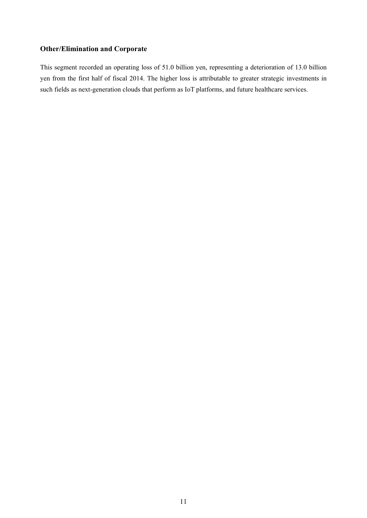## **Other/Elimination and Corporate**

This segment recorded an operating loss of 51.0 billion yen, representing a deterioration of 13.0 billion yen from the first half of fiscal 2014. The higher loss is attributable to greater strategic investments in such fields as next-generation clouds that perform as IoT platforms, and future healthcare services.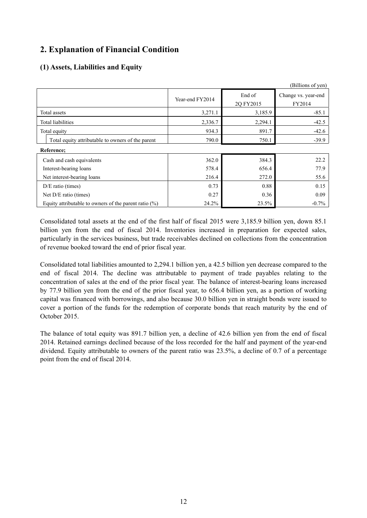## **2. Explanation of Financial Condition**

## **(1) Assets, Liabilities and Equity**

|                                                          |                 |                     | (Billions of yen)             |
|----------------------------------------------------------|-----------------|---------------------|-------------------------------|
|                                                          | Year-end FY2014 | End of<br>2Q FY2015 | Change vs. year-end<br>FY2014 |
| Total assets                                             | 3,271.1         | 3,185.9             | $-85.1$                       |
| Total liabilities                                        | 2,336.7         | 2,294.1             | $-42.5$                       |
| Total equity                                             | 934.3           | 891.7               | $-42.6$                       |
| Total equity attributable to owners of the parent        | 790.0           | 750.1               | $-39.9$                       |
| Reference:                                               |                 |                     |                               |
| Cash and cash equivalents                                | 362.0           | 384.3               | 22.2                          |
| Interest-bearing loans                                   | 578.4           | 656.4               | 77.9                          |
| Net interest-bearing loans                               | 216.4           | 272.0               | 55.6                          |
| $D/E$ ratio (times)                                      | 0.73            | 0.88                | 0.15                          |
| Net D/E ratio (times)                                    | 0.27            | 0.36                | 0.09                          |
| Equity attributable to owners of the parent ratio $(\%)$ | 24.2%           | 23.5%               | $-0.7%$                       |

Consolidated total assets at the end of the first half of fiscal 2015 were 3,185.9 billion yen, down 85.1 billion yen from the end of fiscal 2014. Inventories increased in preparation for expected sales, particularly in the services business, but trade receivables declined on collections from the concentration of revenue booked toward the end of prior fiscal year.

Consolidated total liabilities amounted to 2,294.1 billion yen, a 42.5 billion yen decrease compared to the end of fiscal 2014. The decline was attributable to payment of trade payables relating to the concentration of sales at the end of the prior fiscal year. The balance of interest-bearing loans increased by 77.9 billion yen from the end of the prior fiscal year, to 656.4 billion yen, as a portion of working capital was financed with borrowings, and also because 30.0 billion yen in straight bonds were issued to cover a portion of the funds for the redemption of corporate bonds that reach maturity by the end of October 2015.

The balance of total equity was 891.7 billion yen, a decline of 42.6 billion yen from the end of fiscal 2014. Retained earnings declined because of the loss recorded for the half and payment of the year-end dividend. Equity attributable to owners of the parent ratio was 23.5%, a decline of 0.7 of a percentage point from the end of fiscal 2014.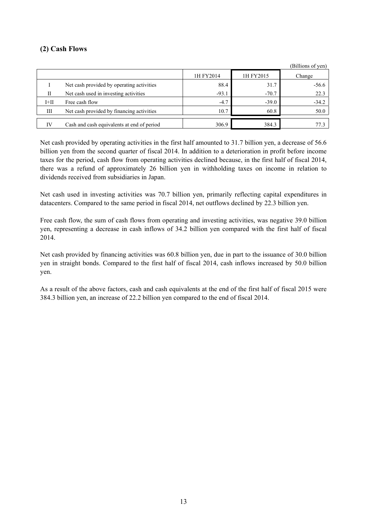### **(2) Cash Flows**

|        |                                            |           |           | (Billions of yen) |
|--------|--------------------------------------------|-----------|-----------|-------------------|
|        |                                            | 1H FY2014 | 1H FY2015 | Change            |
|        | Net cash provided by operating activities  | 88.4      | 31.7      | $-56.6$           |
| Н      | Net cash used in investing activities      | $-93.1$   | $-70.7$   | 22.3              |
| $I+II$ | Free cash flow                             | $-4.7$    | $-39.0$   | $-34.2$           |
| Ш      | Net cash provided by financing activities  | 10.7      | 60.8      | 50.0              |
|        | Cash and cash equivalents at end of period | 306.9     | 384.3     |                   |

Net cash provided by operating activities in the first half amounted to 31.7 billion yen, a decrease of 56.6 billion yen from the second quarter of fiscal 2014. In addition to a deterioration in profit before income taxes for the period, cash flow from operating activities declined because, in the first half of fiscal 2014, there was a refund of approximately 26 billion yen in withholding taxes on income in relation to dividends received from subsidiaries in Japan.

Net cash used in investing activities was 70.7 billion yen, primarily reflecting capital expenditures in datacenters. Compared to the same period in fiscal 2014, net outflows declined by 22.3 billion yen.

Free cash flow, the sum of cash flows from operating and investing activities, was negative 39.0 billion yen, representing a decrease in cash inflows of 34.2 billion yen compared with the first half of fiscal 2014.

Net cash provided by financing activities was 60.8 billion yen, due in part to the issuance of 30.0 billion yen in straight bonds. Compared to the first half of fiscal 2014, cash inflows increased by 50.0 billion yen.

As a result of the above factors, cash and cash equivalents at the end of the first half of fiscal 2015 were 384.3 billion yen, an increase of 22.2 billion yen compared to the end of fiscal 2014.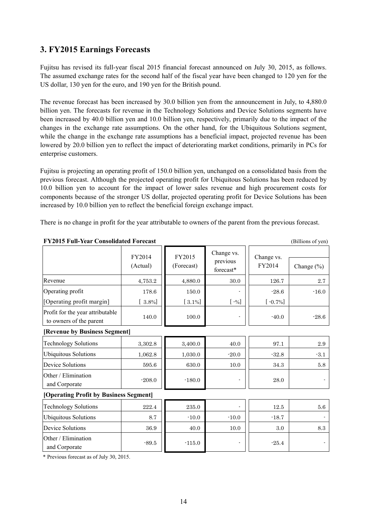## <span id="page-17-0"></span>**3. FY2015 Earnings Forecasts**

Fujitsu has revised its full-year fiscal 2015 financial forecast announced on July 30, 2015, as follows. The assumed exchange rates for the second half of the fiscal year have been changed to 120 yen for the US dollar, 130 yen for the euro, and 190 yen for the British pound.

The revenue forecast has been increased by 30.0 billion yen from the announcement in July, to 4,880.0 billion yen. The forecasts for revenue in the Technology Solutions and Device Solutions segments have been increased by 40.0 billion yen and 10.0 billion yen, respectively, primarily due to the impact of the changes in the exchange rate assumptions. On the other hand, for the Ubiquitous Solutions segment, while the change in the exchange rate assumptions has a beneficial impact, projected revenue has been lowered by 20.0 billion yen to reflect the impact of deteriorating market conditions, primarily in PCs for enterprise customers.

Fujitsu is projecting an operating profit of 150.0 billion yen, unchanged on a consolidated basis from the previous forecast. Although the projected operating profit for Ubiquitous Solutions has been reduced by 10.0 billion yen to account for the impact of lower sales revenue and high procurement costs for components because of the stronger US dollar, projected operating profit for Device Solutions has been increased by 10.0 billion yen to reflect the beneficial foreign exchange impact.

There is no change in profit for the year attributable to owners of the parent from the previous forecast.

|                                                             | FY2014<br>(Actual) | FY2015<br>(Forecast) | Change vs.<br>previous<br>forecast* | Change vs.<br>FY2014 | Change (%) |
|-------------------------------------------------------------|--------------------|----------------------|-------------------------------------|----------------------|------------|
| Revenue                                                     | 4,753.2            | 4,880.0              | 30.0                                | 126.7                | 2.7        |
| Operating profit                                            | 178.6              | 150.0                |                                     | $-28.6$              | $-16.0$    |
| [Operating profit margin]                                   | $[3.8\%]$          | $[3.1\%]$            | $\left[ -\% \right]$                | $[-0.7\%]$           |            |
| Profit for the year attributable<br>to owners of the parent | 140.0              | 100.0                | $\blacksquare$                      | $-40.0$              | $-28.6$    |
| [Revenue by Business Segment]                               |                    |                      |                                     |                      |            |
| <b>Technology Solutions</b>                                 | 3,302.8            | 3,400.0              | 40.0                                | 97.1                 | 2.9        |
| <b>Ubiquitous Solutions</b>                                 | 1,062.8            | 1,030.0              | $-20.0$                             | $-32.8$              | $-3.1$     |
| <b>Device Solutions</b>                                     | 595.6              | 630.0                | 10.0                                | 34.3                 | 5.8        |
| Other / Elimination<br>and Corporate                        | $-208.0$           | $-180.0$             |                                     | 28.0                 |            |
| [Operating Profit by Business Segment]                      |                    |                      |                                     |                      |            |
| <b>Technology Solutions</b>                                 | 222.4              | $235.0\,$            |                                     | 12.5                 | $5.6\,$    |
| <b>Ubiquitous Solutions</b>                                 | 8.7                | $-10.0$              | $-10.0$                             | $-18.7$              |            |
| <b>Device Solutions</b>                                     | 36.9               | 40.0                 | 10.0                                | 3.0                  | 8.3        |
| Other / Elimination<br>and Corporate                        | $-89.5$            | $-115.0$             | $\overline{\phantom{a}}$            | $-25.4$              |            |

**FY2015 Full-Year Consolidated Forecast** (Billions of yen)

\* Previous forecast as of July 30, 2015.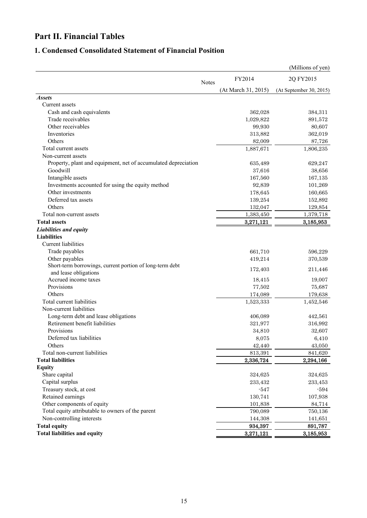# **Part II. Financial Tables**

## **1. Condensed Consolidated Statement of Financial Position**

|                                                                |              |                     | (Millions of yen)       |
|----------------------------------------------------------------|--------------|---------------------|-------------------------|
|                                                                | <b>Notes</b> | FY2014              | 2Q FY2015               |
|                                                                |              | (At March 31, 2015) | (At September 30, 2015) |
| <i><b>Assets</b></i>                                           |              |                     |                         |
| <b>Current</b> assets                                          |              |                     |                         |
| Cash and cash equivalents                                      |              | 362,028             | 384,311                 |
| Trade receivables                                              |              | 1,029,822           | 891,572                 |
| Other receivables                                              |              | 99,930              | 80,607                  |
| Inventories                                                    |              | 313,882             | 362,019                 |
| Others                                                         |              | 82,009              | 87,726                  |
| Total current assets                                           |              | 1,887,671           | 1,806,235               |
| Non-current assets                                             |              |                     |                         |
| Property, plant and equipment, net of accumulated depreciation |              | 635,489             | 629,247                 |
| Goodwill                                                       |              | 37,616              | 38,656                  |
| Intangible assets                                              |              | 167,560             | 167,135                 |
| Investments accounted for using the equity method              |              | 92,839              | 101,269                 |
| Other investments                                              |              | 178,645             | 160,665                 |
| Deferred tax assets                                            |              | 139,254             | 152,892                 |
| Others                                                         |              | 132,047             | 129,854                 |
| Total non-current assets                                       |              | 1,383,450           | 1,379,718               |
| <b>Total assets</b>                                            |              | 3,271,121           | 3,185,953               |
| Liabilities and equity                                         |              |                     |                         |
| <b>Liabilities</b>                                             |              |                     |                         |
| Current liabilities                                            |              |                     |                         |
| Trade payables                                                 |              | 661,710             | 596,229                 |
| Other payables                                                 |              | 419,214             | 370,539                 |
| Short-term borrowings, current portion of long-term debt       |              |                     |                         |
| and lease obligations                                          |              | 172,403             | 211,446                 |
| Accrued income taxes                                           |              | 18,415              | 19,007                  |
| Provisions                                                     |              | 77,502              | 75,687                  |
| Others                                                         |              | 174,089             | 179,638                 |
| Total current liabilities                                      |              | 1,523,333           | 1,452,546               |
| Non-current liabilities                                        |              |                     |                         |
| Long-term debt and lease obligations                           |              | 406,089             | 442,561                 |
| Retirement benefit liabilities                                 |              | 321,977             | 316,992                 |
| Provisions                                                     |              | 34,810              | 32,607                  |
| Deferred tax liabilities                                       |              | 8,075               | 6,410                   |
| Others                                                         |              | 42,440              | 43,050                  |
| Total non-current liabilities                                  |              | 813,391             | 841,620                 |
| <b>Total liabilities</b>                                       |              | 2,336,724           | 2,294,166               |
| <b>Equity</b>                                                  |              |                     |                         |
| Share capital                                                  |              | 324,625             | 324,625                 |
| Capital surplus                                                |              | 233,432             | 233,453                 |
| Treasury stock, at cost                                        |              | $-547$              | $-594$                  |
| Retained earnings                                              |              | 130,741             | 107,938                 |
| Other components of equity                                     |              | 101,838             | 84,714                  |
| Total equity attributable to owners of the parent              |              |                     |                         |
| Non-controlling interests                                      |              | 790,089             | 750,136                 |
|                                                                |              | 144,308             | 141,651                 |
| <b>Total equity</b>                                            |              | 934,397             | 891,787                 |
| <b>Total liabilities and equity</b>                            |              | 3,271,121           | 3,185,953               |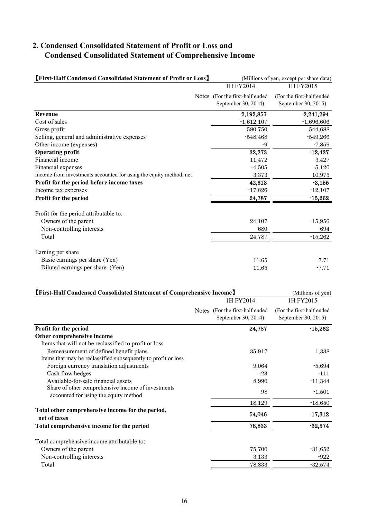## **2. Condensed Consolidated Statement of Profit or Loss and Condensed Consolidated Statement of Comprehensive Income**

| <b>[First-Half Condensed Consolidated Statement of Profit or Loss]</b> | (Millions of yen, except per share data) |                           |  |
|------------------------------------------------------------------------|------------------------------------------|---------------------------|--|
|                                                                        | 1H FY2014                                | 1H FY2015                 |  |
|                                                                        | Notes (For the first-half ended          | (For the first-half ended |  |
|                                                                        | September 30, 2014)                      | September 30, 2015)       |  |
| <b>Revenue</b>                                                         | 2,192,857                                | 2,241,294                 |  |
| Cost of sales                                                          | $-1,612,107$                             | $-1,696,606$              |  |
| Gross profit                                                           | 580,750                                  | 544,688                   |  |
| Selling, general and administrative expenses                           | $-548,468$                               | $-549,266$                |  |
| Other income (expenses)                                                | -9                                       | $-7,859$                  |  |
| <b>Operating profit</b>                                                | 32,273                                   | $-12,437$                 |  |
| Financial income                                                       | 11,472                                   | 3,427                     |  |
| Financial expenses                                                     | $-4,505$                                 | $-5,120$                  |  |
| Income from investments accounted for using the equity method, net     | 3,373                                    | 10,975                    |  |
| Profit for the period before income taxes                              | 42,613                                   | $-3,155$                  |  |
| Income tax expenses                                                    | $-17,826$                                | $-12,107$                 |  |
| Profit for the period                                                  | 24,787                                   | $-15,262$                 |  |
| Profit for the period attributable to:                                 |                                          |                           |  |
| Owners of the parent                                                   | 24,107                                   | $-15,956$                 |  |
| Non-controlling interests                                              | 680                                      | 694                       |  |
| Total                                                                  | 24,787                                   | $-15,262$                 |  |
| Earning per share                                                      |                                          |                           |  |
| Basic earnings per share (Yen)                                         | 11.65                                    | $-7.71$                   |  |
| Diluted earnings per share (Yen)                                       | 11.65                                    | $-7.71$                   |  |

| <b>[First-Half Condensed Consolidated Statement of Comprehensive Income]</b>                            | (Millions of yen)                                      |                                                  |
|---------------------------------------------------------------------------------------------------------|--------------------------------------------------------|--------------------------------------------------|
|                                                                                                         | 1H FY2014                                              | 1H FY2015                                        |
|                                                                                                         | Notes (For the first-half ended<br>September 30, 2014) | (For the first-half ended<br>September 30, 2015) |
| Profit for the period                                                                                   | 24,787                                                 | $-15,262$                                        |
| Other comprehensive income                                                                              |                                                        |                                                  |
| Items that will not be reclassified to profit or loss                                                   |                                                        |                                                  |
| Remeasurement of defined benefit plans<br>Items that may be reclassified subsequently to profit or loss | 35,917                                                 | 1,338                                            |
| Foreign currency translation adjustments                                                                | 9,064                                                  | $-5,694$                                         |
| Cash flow hedges                                                                                        | $-23$                                                  | $-111$                                           |
| Available-for-sale financial assets                                                                     | 8,990                                                  | $-11,344$                                        |
| Share of other comprehensive income of investments<br>accounted for using the equity method             | 98                                                     | $-1,501$                                         |
|                                                                                                         | 18,129                                                 | $-18,650$                                        |
| Total other comprehensive income for the period,<br>net of taxes                                        | 54,046                                                 | $-17,312$                                        |
| Total comprehensive income for the period                                                               | 78,833                                                 | $-32,574$                                        |
| Total comprehensive income attributable to:                                                             |                                                        |                                                  |
| Owners of the parent                                                                                    | 75,700                                                 | $-31,652$                                        |
| Non-controlling interests                                                                               | 3,133                                                  | $-922$                                           |
| Total                                                                                                   | 78,833                                                 | $-32,574$                                        |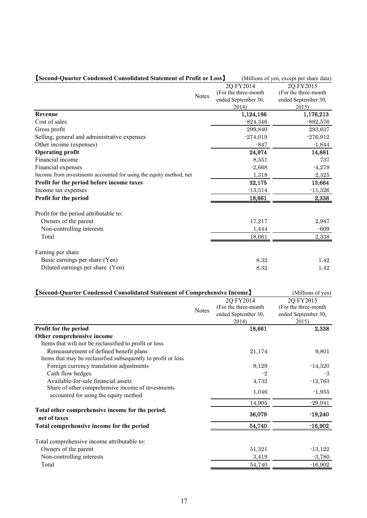| [Second-Quarter Condensed Consolidated Statement of Profit or Loss] |              |                       | (Millions of yen, except per share data) |
|---------------------------------------------------------------------|--------------|-----------------------|------------------------------------------|
|                                                                     |              | 2Q FY2014             | 2Q FY2015                                |
|                                                                     | <b>Notes</b> | (For the three-month) | (For the three-month                     |
|                                                                     |              | ended September 30,   | ended September 30,                      |
|                                                                     |              | 2014)                 | 2015)                                    |
| <b>Revenue</b>                                                      |              | 1,124,186             | 1,176,213                                |
| Cost of sales                                                       |              | $-824,346$            | $-882,576$                               |
| Gross profit                                                        |              | 299,840               | 293,637                                  |
| Selling, general and administrative expenses                        |              | $-274,019$            | $-276,912$                               |
| Other income (expenses)                                             |              | $-847$                | $-1,844$                                 |
| <b>Operating profit</b>                                             |              | 24,974                | 14,881                                   |
| Financial income                                                    |              | 8,551                 | 737                                      |
| Financial expenses                                                  |              | $-2,668$              | $-4,279$                                 |
| Income from investments accounted for using the equity method, net  |              | 1,318                 | 2,325                                    |
| Profit for the period before income taxes                           |              | 32,175                | 13,664                                   |
| Income tax expenses                                                 |              | $-13,514$             | $-11,326$                                |
| Profit for the period                                               |              | 18,661                | 2,338                                    |
| Profit for the period attributable to:                              |              |                       |                                          |
| Owners of the parent                                                |              | 17,217                | 2,947                                    |
| Non-controlling interests                                           |              | 1,444                 | $-609$                                   |
| Total                                                               |              | 18,661                | 2,338                                    |
| Earning per share                                                   |              |                       |                                          |
| Basic earnings per share (Yen)                                      |              | 8.32                  | 1.42                                     |
| Diluted earnings per share (Yen)                                    |              | 8.32                  | 1.42                                     |

| [Second-Quarter Condensed Consolidated Statement of Comprehensive Income] | (Millions of yen) |                       |                       |
|---------------------------------------------------------------------------|-------------------|-----------------------|-----------------------|
|                                                                           |                   | 2Q FY2014             | 2Q FY2015             |
|                                                                           | <b>Notes</b>      | (For the three-month) | (For the three-month) |
|                                                                           |                   | ended September 30,   | ended September 30,   |
|                                                                           |                   | 2014)                 | 2015)                 |
| Profit for the period                                                     |                   | 18,661                | 2,338                 |
| Other comprehensive income                                                |                   |                       |                       |
| Items that will not be reclassified to profit or loss                     |                   |                       |                       |
| Remeasurement of defined benefit plans                                    |                   | 21,174                | 9,801                 |
| Items that may be reclassified subsequently to profit or loss             |                   |                       |                       |
| Foreign currency translation adjustments                                  |                   | 9,129                 | $-14,320$             |
| Cash flow hedges                                                          |                   | -2                    | -3                    |
| Available-for-sale financial assets                                       |                   | 4,732                 | $-12,763$             |
| Share of other comprehensive income of investments                        |                   | 1,046                 | $-1,955$              |
| accounted for using the equity method                                     |                   |                       |                       |
|                                                                           |                   | 14,905                | $-29,041$             |
| Total other comprehensive income for the period,<br>net of taxes          |                   | 36,079                | $-19,240$             |
|                                                                           |                   |                       |                       |
| Total comprehensive income for the period                                 |                   | 54,740                | $-16,902$             |
| Total comprehensive income attributable to:                               |                   |                       |                       |
| Owners of the parent                                                      |                   | 51,321                | $-13,122$             |
| Non-controlling interests                                                 |                   | 3,419                 | $-3,780$              |
| Total                                                                     |                   | 54,740                | $-16,902$             |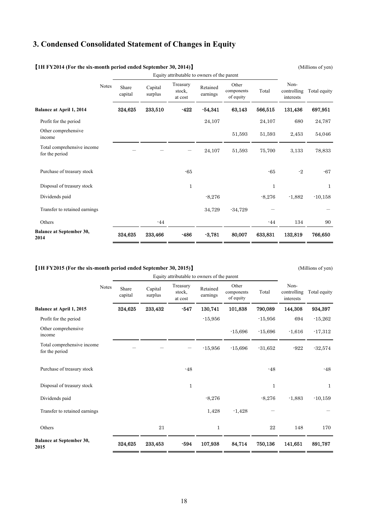### **3. Condensed Consolidated Statement of Changes in Equity**

|                                              |       | Equity attributable to owners of the parent |                    |                               |                      |                                  |              |                                  |              |
|----------------------------------------------|-------|---------------------------------------------|--------------------|-------------------------------|----------------------|----------------------------------|--------------|----------------------------------|--------------|
|                                              | Notes | Share<br>capital                            | Capital<br>surplus | Treasury<br>stock,<br>at cost | Retained<br>earnings | Other<br>components<br>of equity | Total        | Non-<br>controlling<br>interests | Total equity |
| Balance at April 1, 2014                     |       | 324,625                                     | 233,510            | $-422$                        | $-54,341$            | 63,143                           | 566,515      | 131,436                          | 697,951      |
| Profit for the period                        |       |                                             |                    |                               | 24,107               |                                  | 24,107       | 680                              | 24,787       |
| Other comprehensive<br>income                |       |                                             |                    |                               |                      | 51,593                           | 51,593       | 2,453                            | 54,046       |
| Total comprehensive income<br>for the period |       |                                             |                    |                               | 24,107               | 51,593                           | 75,700       | 3,133                            | 78,833       |
| Purchase of treasury stock                   |       |                                             |                    | $-65$                         |                      |                                  | $-65$        | $-2$                             | $-67$        |
| Disposal of treasury stock                   |       |                                             |                    | 1                             |                      |                                  | $\mathbf{1}$ |                                  | 1            |
| Dividends paid                               |       |                                             |                    |                               | $-8,276$             |                                  | $-8,276$     | $-1,882$                         | $-10,158$    |
| Transfer to retained earnings                |       |                                             |                    |                               | 34,729               | $-34,729$                        |              |                                  |              |
| Others                                       |       |                                             | $-44$              |                               |                      |                                  | $-44$        | 134                              | 90           |
| <b>Balance at September 30,</b><br>2014      |       | 324,625                                     | 233,466            | $-486$                        | $-3,781$             | 80,007                           | 633,831      | 132,819                          | 766,650      |

#### 【**1H FY2014 (For the six-month period ended September 30, 2014)**】 (Millions of yen)

【**1H FY2015 (For the six-month period ended September 30, 2015)**】 (Millions of yen)

Equity attributable to owners of the parent Notes Share capital Capital surplus Treasury stock, at cost Retained earnings Other components of equity Total Noncontrolling interests Total equity **Balance at April 1, 2015**  Profit for the period Other comprehensive income Total comprehensive income for the period 324,625 - 233,432 - -547 - 130,741 -15,956 -15,956 101,838 -15,696 -15,696 790,089 -15,956 -15,696 -31,652 144,308 694 -1,616 -922 934,397 -15,262 -17,312 -32,574 Purchase of treasury stock **a** structure of treasury stock **a** structure of treasury stock **a** structure of the structure of the structure of the structure of the structure of the structure of the structure of the structur Disposal of treasury stock Dividends paid Transfer to retained earnings 1 -8,276 1,428 -1,428 1 -8,276 - -1,883 1 -10,159 - Others 21 1 22 148 170 **Balance at September 30, 2015**<br>2015<br>2015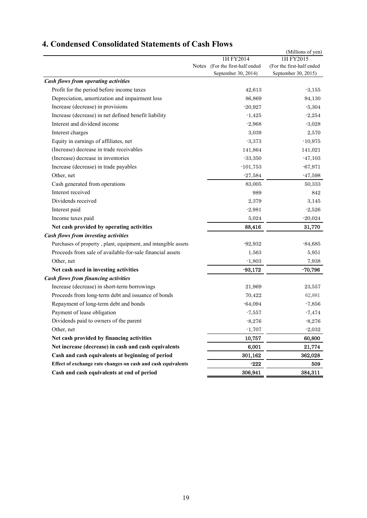|                                                                |              |                           | (Millions of yen)         |
|----------------------------------------------------------------|--------------|---------------------------|---------------------------|
|                                                                |              | 1H FY2014                 | 1H FY2015                 |
|                                                                | <b>Notes</b> | (For the first-half ended | (For the first-half ended |
|                                                                |              | September 30, 2014)       | September 30, 2015)       |
| <b>Cash flows from operating activities</b>                    |              |                           |                           |
| Profit for the period before income taxes                      |              | 42,613                    | $-3,155$                  |
| Depreciation, amortization and impairment loss                 |              | 86,869                    | 94,130                    |
| Increase (decrease) in provisions                              |              | $-20,927$                 | $-5,304$                  |
| Increase (decrease) in net defined benefit liability           |              | $-1,425$                  | $-2,254$                  |
| Interest and dividend income                                   |              | $-2,968$                  | $-3,028$                  |
| Interest charges                                               |              | 3,039                     | 2,570                     |
| Equity in earnings of affiliates, net                          |              | $-3,373$                  | $-10,975$                 |
| (Increase) decrease in trade receivables                       |              | 141,864                   | 141,021                   |
| (Increase) decrease in inventories                             |              | $-33,350$                 | $-47,103$                 |
| Increase (decrease) in trade payables                          |              | $-101,753$                | $-67,971$                 |
| Other, net                                                     |              | $-27,584$                 | $-47,598$                 |
| Cash generated from operations                                 |              | 83,005                    | 50,333                    |
| Interest received                                              |              | 989                       | 842                       |
| Dividends received                                             |              | 2,379                     | 3,145                     |
| Interest paid                                                  |              | $-2,981$                  | $-2,526$                  |
| Income taxes paid                                              |              | 5,024                     | $-20,024$                 |
| Net cash provided by operating activities                      |              | 88,416                    | 31,770                    |
| Cash flows from investing activities                           |              |                           |                           |
| Purchases of property, plant, equipment, and intangible assets |              | $-92,932$                 | $-84,685$                 |
| Proceeds from sale of available-for-sale financial assets      |              | 1,563                     | 5,951                     |
| Other, net                                                     |              | $-1,803$                  | 7,938                     |
| Net cash used in investing activities                          |              | $-93,172$                 | $-70,796$                 |
| <b>Cash flows from financing activities</b>                    |              |                           |                           |
| Increase (decrease) in short-term borrowings                   |              | 21,969                    | 23,557                    |
| Proceeds from long-term debt and issuance of bonds             |              | 70,422                    | 62,881                    |
| Repayment of long-term debt and bonds                          |              | $-64,094$                 | $-7,856$                  |
| Payment of lease obligation                                    |              | $-7,557$                  | $-7,474$                  |
| Dividends paid to owners of the parent                         |              | $-8,276$                  | $-8,276$                  |
| Other, net                                                     |              | $-1,707$                  | $-2,032$                  |
| Net cash provided by financing activities                      |              | 10,757                    | 60,800                    |
| Net increase (decrease) in cash and cash equivalents           |              | 6,001                     | 21,774                    |
| Cash and cash equivalents at beginning of period               |              | 301,162                   | 362,028                   |
| Effect of exchange rate changes on cash and cash equivalents   |              | $-222$                    | 509                       |
| Cash and cash equivalents at end of period                     |              | 306,941                   | 384,311                   |
|                                                                |              |                           |                           |

# **4. Condensed Consolidated Statements of Cash Flows**